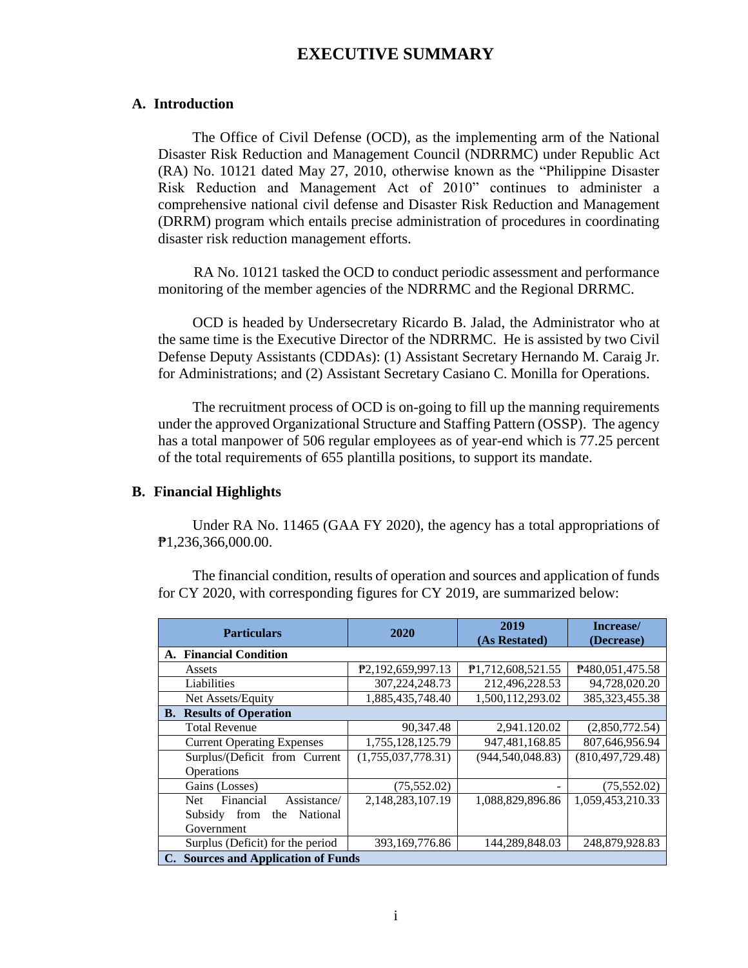# **EXECUTIVE SUMMARY**

### **A. Introduction**

The Office of Civil Defense (OCD), as the implementing arm of the National Disaster Risk Reduction and Management Council (NDRRMC) under Republic Act (RA) No. 10121 dated May 27, 2010, otherwise known as the "Philippine Disaster Risk Reduction and Management Act of 2010" continues to administer a comprehensive national civil defense and Disaster Risk Reduction and Management (DRRM) program which entails precise administration of procedures in coordinating disaster risk reduction management efforts.

RA No. 10121 tasked the OCD to conduct periodic assessment and performance monitoring of the member agencies of the NDRRMC and the Regional DRRMC.

OCD is headed by Undersecretary Ricardo B. Jalad, the Administrator who at the same time is the Executive Director of the NDRRMC. He is assisted by two Civil Defense Deputy Assistants (CDDAs): (1) Assistant Secretary Hernando M. Caraig Jr. for Administrations; and (2) Assistant Secretary Casiano C. Monilla for Operations.

The recruitment process of OCD is on-going to fill up the manning requirements under the approved Organizational Structure and Staffing Pattern (OSSP). The agency has a total manpower of 506 regular employees as of year-end which is 77.25 percent of the total requirements of 655 plantilla positions, to support its mandate.

#### **B. Financial Highlights**

Under RA No. 11465 (GAA FY 2020), the agency has a total appropriations of ₱1,236,366,000.00.

The financial condition, results of operation and sources and application of funds for CY 2020, with corresponding figures for CY 2019, are summarized below:

| <b>Particulars</b>                  | 2020                           | 2019<br>(As Restated)          | Increase/<br>(Decrease) |  |
|-------------------------------------|--------------------------------|--------------------------------|-------------------------|--|
| <b>Financial Condition</b><br>A.    |                                |                                |                         |  |
| Assets                              | P <sub>2</sub> ,192,659,997.13 | P <sub>1</sub> ,712,608,521.55 | P480,051,475.58         |  |
| Liabilities                         | 307, 224, 248. 73              | 212,496,228.53                 | 94,728,020.20           |  |
| Net Assets/Equity                   | 1,885,435,748.40               | 1,500,112,293.02               | 385, 323, 455. 38       |  |
| <b>B.</b> Results of Operation      |                                |                                |                         |  |
| <b>Total Revenue</b>                | 90.347.48                      | 2,941.120.02                   | (2,850,772.54)          |  |
| <b>Current Operating Expenses</b>   | 1,755,128,125.79               | 947,481,168.85                 | 807,646,956.94          |  |
| Surplus/(Deficit from Current       | (1,755,037,778.31)             | (944, 540, 048.83)             | (810, 497, 729.48)      |  |
| Operations                          |                                |                                |                         |  |
| Gains (Losses)                      | (75, 552.02)                   |                                | (75, 552.02)            |  |
| Financial<br>Assistance/<br>Net.    | 2,148,283,107.19               | 1,088,829,896.86               | 1,059,453,210.33        |  |
| National<br>Subsidy<br>from<br>the  |                                |                                |                         |  |
| Government                          |                                |                                |                         |  |
| Surplus (Deficit) for the period    | 393,169,776.86                 | 144,289,848.03                 | 248,879,928.83          |  |
| C. Sources and Application of Funds |                                |                                |                         |  |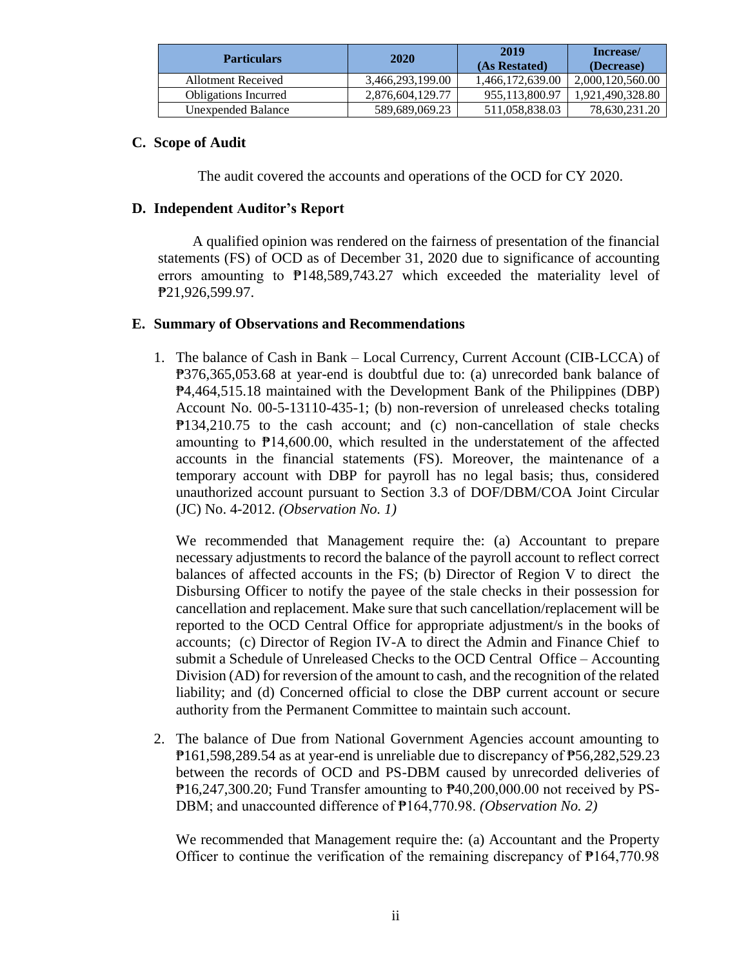| <b>Particulars</b>          | 2020             | 2019<br>(As Restated) | Increase/<br>(Decrease) |
|-----------------------------|------------------|-----------------------|-------------------------|
| Allotment Received          | 3,466,293,199.00 | 1,466,172,639.00      | 2,000,120,560.00        |
| <b>Obligations Incurred</b> | 2,876,604,129.77 | 955,113,800.97        | 1,921,490,328.80        |
| Unexpended Balance          | 589,689,069.23   | 511,058,838.03        | 78,630,231.20           |

## **C. Scope of Audit**

The audit covered the accounts and operations of the OCD for CY 2020.

### **D. Independent Auditor's Report**

A qualified opinion was rendered on the fairness of presentation of the financial statements (FS) of OCD as of December 31, 2020 due to significance of accounting errors amounting to ₱148,589,743.27 which exceeded the materiality level of ₱21,926,599.97.

### **E. Summary of Observations and Recommendations**

1. The balance of Cash in Bank – Local Currency, Current Account (CIB-LCCA) of ₱376,365,053.68 at year-end is doubtful due to: (a) unrecorded bank balance of ₱4,464,515.18 maintained with the Development Bank of the Philippines (DBP) Account No. 00-5-13110-435-1; (b) non-reversion of unreleased checks totaling ₱134,210.75 to the cash account; and (c) non-cancellation of stale checks amounting to ₱14,600.00, which resulted in the understatement of the affected accounts in the financial statements (FS). Moreover, the maintenance of a temporary account with DBP for payroll has no legal basis; thus, considered unauthorized account pursuant to Section 3.3 of DOF/DBM/COA Joint Circular (JC) No. 4-2012. *(Observation No. 1)*

We recommended that Management require the: (a) Accountant to prepare necessary adjustments to record the balance of the payroll account to reflect correct balances of affected accounts in the FS; (b) Director of Region V to direct the Disbursing Officer to notify the payee of the stale checks in their possession for cancellation and replacement. Make sure that such cancellation/replacement will be reported to the OCD Central Office for appropriate adjustment/s in the books of accounts; (c) Director of Region IV-A to direct the Admin and Finance Chief to submit a Schedule of Unreleased Checks to the OCD Central Office – Accounting Division (AD) for reversion of the amount to cash, and the recognition of the related liability; and (d) Concerned official to close the DBP current account or secure authority from the Permanent Committee to maintain such account.

2. The balance of Due from National Government Agencies account amounting to ₱161,598,289.54 as at year-end is unreliable due to discrepancy of ₱56,282,529.23 between the records of OCD and PS-DBM caused by unrecorded deliveries of  $P16,247,300.20$ ; Fund Transfer amounting to  $P40,200,000.00$  not received by PS-DBM; and unaccounted difference of ₱164,770.98. *(Observation No. 2)*

We recommended that Management require the: (a) Accountant and the Property Officer to continue the verification of the remaining discrepancy of  $P164,770.98$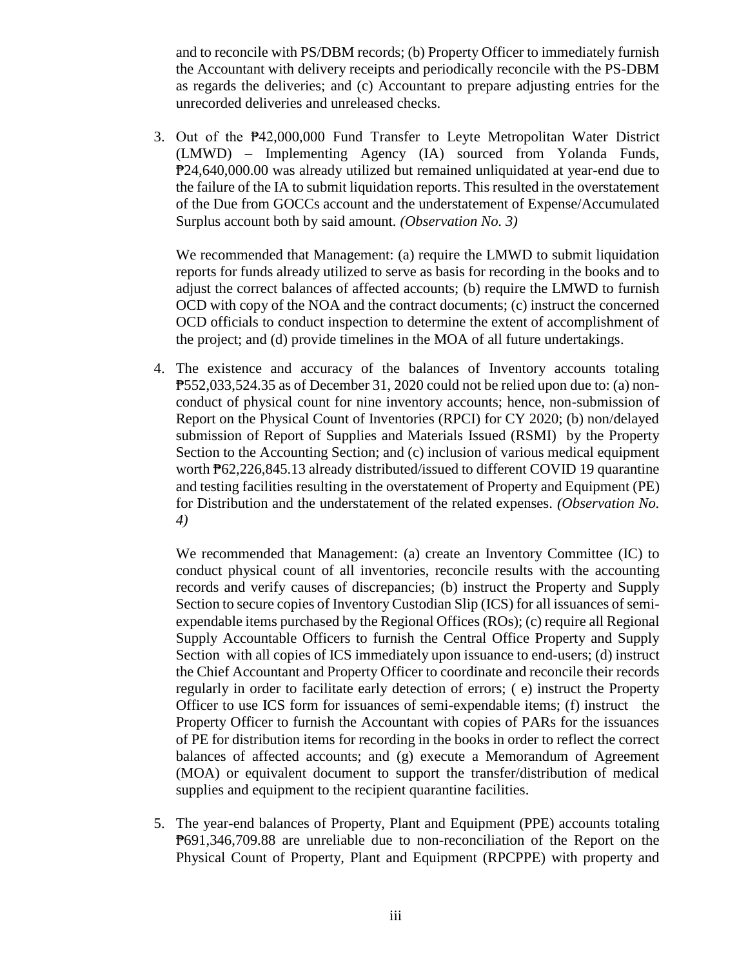and to reconcile with PS/DBM records; (b) Property Officer to immediately furnish the Accountant with delivery receipts and periodically reconcile with the PS-DBM as regards the deliveries; and (c) Accountant to prepare adjusting entries for the unrecorded deliveries and unreleased checks.

3. Out of the ₱42,000,000 Fund Transfer to Leyte Metropolitan Water District (LMWD) – Implementing Agency (IA) sourced from Yolanda Funds, ₱24,640,000.00 was already utilized but remained unliquidated at year-end due to the failure of the IA to submit liquidation reports. This resulted in the overstatement of the Due from GOCCs account and the understatement of Expense/Accumulated Surplus account both by said amount. *(Observation No. 3)*

We recommended that Management: (a) require the LMWD to submit liquidation reports for funds already utilized to serve as basis for recording in the books and to adjust the correct balances of affected accounts; (b) require the LMWD to furnish OCD with copy of the NOA and the contract documents; (c) instruct the concerned OCD officials to conduct inspection to determine the extent of accomplishment of the project; and (d) provide timelines in the MOA of all future undertakings.

4. The existence and accuracy of the balances of Inventory accounts totaling ₱552,033,524.35 as of December 31, 2020 could not be relied upon due to: (a) nonconduct of physical count for nine inventory accounts; hence, non-submission of Report on the Physical Count of Inventories (RPCI) for CY 2020; (b) non/delayed submission of Report of Supplies and Materials Issued (RSMI) by the Property Section to the Accounting Section; and (c) inclusion of various medical equipment worth  $\overline{P}62,226,845.13$  already distributed/issued to different COVID 19 quarantine and testing facilities resulting in the overstatement of Property and Equipment (PE) for Distribution and the understatement of the related expenses. *(Observation No. 4)*

We recommended that Management: (a) create an Inventory Committee (IC) to conduct physical count of all inventories, reconcile results with the accounting records and verify causes of discrepancies; (b) instruct the Property and Supply Section to secure copies of Inventory Custodian Slip (ICS) for all issuances of semiexpendable items purchased by the Regional Offices (ROs); (c) require all Regional Supply Accountable Officers to furnish the Central Office Property and Supply Section with all copies of ICS immediately upon issuance to end-users; (d) instruct the Chief Accountant and Property Officer to coordinate and reconcile their records regularly in order to facilitate early detection of errors; ( e) instruct the Property Officer to use ICS form for issuances of semi-expendable items; (f) instruct the Property Officer to furnish the Accountant with copies of PARs for the issuances of PE for distribution items for recording in the books in order to reflect the correct balances of affected accounts; and (g) execute a Memorandum of Agreement (MOA) or equivalent document to support the transfer/distribution of medical supplies and equipment to the recipient quarantine facilities.

5. The year-end balances of Property, Plant and Equipment (PPE) accounts totaling ₱691,346,709.88 are unreliable due to non-reconciliation of the Report on the Physical Count of Property, Plant and Equipment (RPCPPE) with property and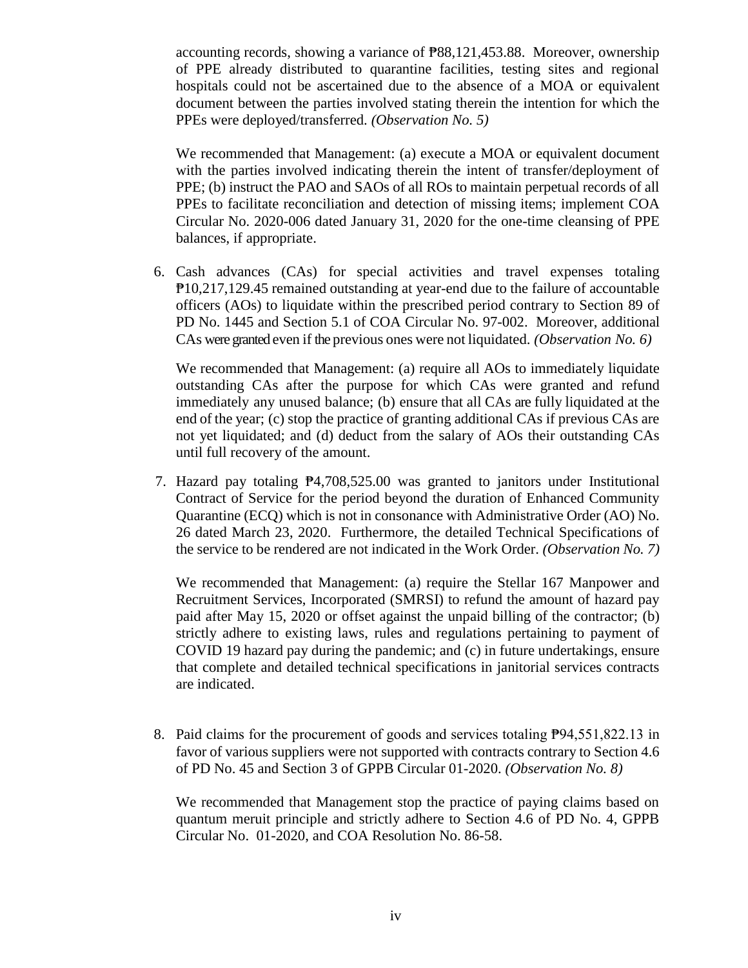accounting records, showing a variance of ₱88,121,453.88. Moreover, ownership of PPE already distributed to quarantine facilities, testing sites and regional hospitals could not be ascertained due to the absence of a MOA or equivalent document between the parties involved stating therein the intention for which the PPEs were deployed/transferred. *(Observation No. 5)*

We recommended that Management: (a) execute a MOA or equivalent document with the parties involved indicating therein the intent of transfer/deployment of PPE; (b) instruct the PAO and SAOs of all ROs to maintain perpetual records of all PPEs to facilitate reconciliation and detection of missing items; implement COA Circular No. 2020-006 dated January 31, 2020 for the one-time cleansing of PPE balances, if appropriate.

6. Cash advances (CAs) for special activities and travel expenses totaling ₱10,217,129.45 remained outstanding at year-end due to the failure of accountable officers (AOs) to liquidate within the prescribed period contrary to Section 89 of PD No. 1445 and Section 5.1 of COA Circular No. 97-002. Moreover, additional CAs were granted even if the previous ones were not liquidated. *(Observation No. 6)*

We recommended that Management: (a) require all AOs to immediately liquidate outstanding CAs after the purpose for which CAs were granted and refund immediately any unused balance; (b) ensure that all CAs are fully liquidated at the end of the year; (c) stop the practice of granting additional CAs if previous CAs are not yet liquidated; and (d) deduct from the salary of AOs their outstanding CAs until full recovery of the amount.

7. Hazard pay totaling ₱4,708,525.00 was granted to janitors under Institutional Contract of Service for the period beyond the duration of Enhanced Community Quarantine (ECQ) which is not in consonance with Administrative Order (AO) No. 26 dated March 23, 2020. Furthermore, the detailed Technical Specifications of the service to be rendered are not indicated in the Work Order. *(Observation No. 7)*

We recommended that Management: (a) require the Stellar 167 Manpower and Recruitment Services, Incorporated (SMRSI) to refund the amount of hazard pay paid after May 15, 2020 or offset against the unpaid billing of the contractor; (b) strictly adhere to existing laws, rules and regulations pertaining to payment of COVID 19 hazard pay during the pandemic; and (c) in future undertakings, ensure that complete and detailed technical specifications in janitorial services contracts are indicated.

8. Paid claims for the procurement of goods and services totaling  $\overline{P}94,551,822.13$  in favor of various suppliers were not supported with contracts contrary to Section 4.6 of PD No. 45 and Section 3 of GPPB Circular 01-2020. *(Observation No. 8)*

We recommended that Management stop the practice of paying claims based on quantum meruit principle and strictly adhere to Section 4.6 of PD No. 4, GPPB Circular No. 01-2020, and COA Resolution No. 86-58.